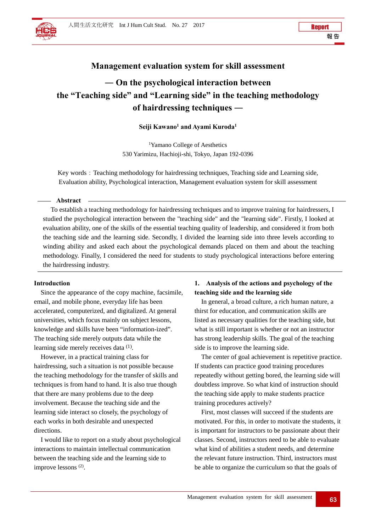# **Management evaluation system for skill assessment**

# **― On the psychological interaction between the "Teaching side" and "Learning side" in the teaching methodology of hairdressing techniques ―**

# **Seiji Kawano1 and Ayami Kuroda1**

1 Yamano College of Aesthetics 530 Yarimizu, Hachioji-shi, Tokyo, Japan 192-0396

Key words: Teaching methodology for hairdressing techniques, Teaching side and Learning side, Evaluation ability, Psychological interaction, Management evaluation system for skill assessment

#### **Abstract**

To establish a teaching methodology for hairdressing techniques and to improve training for hairdressers, I studied the psychological interaction between the "teaching side" and the "learning side". Firstly, I looked at evaluation ability, one of the skills of the essential teaching quality of leadership, and considered it from both the teaching side and the learning side. Secondly, I divided the learning side into three levels according to winding ability and asked each about the psychological demands placed on them and about the teaching methodology. Finally, I considered the need for students to study psychological interactions before entering the hairdressing industry.

#### **Introduction**

Since the appearance of the copy machine, facsimile, email, and mobile phone, everyday life has been accelerated, computerized, and digitalized. At general universities, which focus mainly on subject lessons, knowledge and skills have been "information-ized". The teaching side merely outputs data while the learning side merely receives data (1).

However, in a practical training class for hairdressing, such a situation is not possible because the teaching methodology for the transfer of skills and techniques is from hand to hand. It is also true though that there are many problems due to the deep involvement. Because the teaching side and the learning side interact so closely, the psychology of each works in both desirable and unexpected directions.

I would like to report on a study about psychological interactions to maintain intellectual communication between the teaching side and the learning side to improve lessons (2).

## **1. Analysis of the actions and psychology of the teaching side and the learning side**

In general, a broad culture, a rich human nature, a thirst for education, and communication skills are listed as necessary qualities for the teaching side, but what is still important is whether or not an instructor has strong leadership skills. The goal of the teaching side is to improve the learning side.

The center of goal achievement is repetitive practice. If students can practice good training procedures repeatedly without getting bored, the learning side will doubtless improve. So what kind of instruction should the teaching side apply to make students practice training procedures actively?

First, most classes will succeed if the students are motivated. For this, in order to motivate the students, it is important for instructors to be passionate about their classes. Second, instructors need to be able to evaluate what kind of abilities a student needs, and determine the relevant future instruction. Third, instructors must be able to organize the curriculum so that the goals of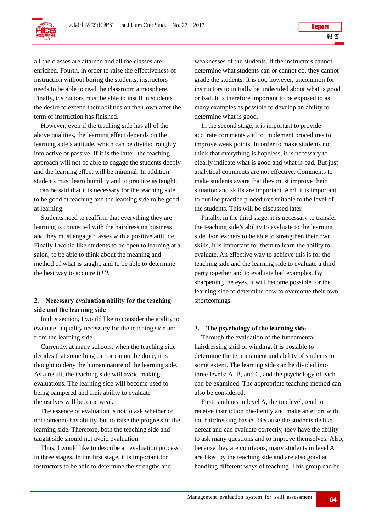all the classes are attained and all the classes are enriched. Fourth, in order to raise the effectiveness of instruction without boring the students, instructors needs to be able to read the classroom atmosphere. Finally, instructors must be able to instill in students the desire to extend their abilities on their own after the term of instruction has finished.

However, even if the teaching side has all of the above qualities, the learning effect depends on the learning side's attitude, which can be divided roughly into active or passive. If it is the latter, the teaching approach will not be able to engage the students deeply and the learning effect will be minimal. In addition, students must learn humility and to practice as taught. It can be said that it is necessary for the teaching side to be good at teaching and the learning side to be good at learning.

Students need to reaffirm that everything they are learning is connected with the hairdressing business and they must engage classes with a positive attitude. Finally I would like students to be open to learning at a salon, to be able to think about the meaning and method of what is taught, and to be able to determine the best way to acquire it  $(3)$ .

## **2. Necessary evaluation ability for the teaching side and the learning side**

In this section, I would like to consider the ability to evaluate, a quality necessary for the teaching side and from the learning side.

Currently, at many schools, when the teaching side decides that something can or cannot be done, it is thought to deny the human nature of the learning side. As a result, the teaching side will avoid making evaluations. The learning side will become used to being pampered and their ability to evaluate themselves will become weak.

The essence of evaluation is not to ask whether or not someone has ability, but to raise the progress of the learning side. Therefore, both the teaching side and taught side should not avoid evaluation.

Thus, I would like to describe an evaluation process in three stages. In the first stage, it is important for instructors to be able to determine the strengths and

weaknesses of the students. If the instructors cannot determine what students can or cannot do, they cannot grade the students. It is not, however, uncommon for instructors to initially be undecided about what is good or bad. It is therefore important to be exposed to as many examples as possible to develop an ability to determine what is good.

In the second stage, it is important to provide accurate comments and to implement procedures to improve weak points. In order to make students not think that everything is hopeless, it is necessary to clearly indicate what is good and what is bad. But just analytical comments are not effective. Comments to make students aware that they must improve their situation and skills are important. And, it is important to outline practice procedures suitable to the level of the students. This will be discussed later.

Finally, in the third stage, it is necessary to transfer the teaching side's ability to evaluate to the learning side. For learners to be able to strengthen their own skills, it is important for them to learn the ability to evaluate. An effective way to achieve this is for the teaching side and the learning side to evaluate a third party together and to evaluate bad examples. By sharpening the eyes, it will become possible for the learning side to determine how to overcome their own shortcomings.

#### **3. The psychology of the learning side**

Through the evaluation of the fundamental hairdressing skill of winding, it is possible to determine the temperament and ability of students to some extent. The learning side can be divided into three levels: A, B, and C, and the psychology of each can be examined. The appropriate teaching method can also be considered.

First, students in level A, the top level, tend to receive instruction obediently and make an effort with the hairdressing basics. Because the students dislike defeat and can evaluate correctly, they have the ability to ask many questions and to improve themselves. Also, because they are courteous, many students in level A are liked by the teaching side and are also good at handling different ways of teaching. This group can be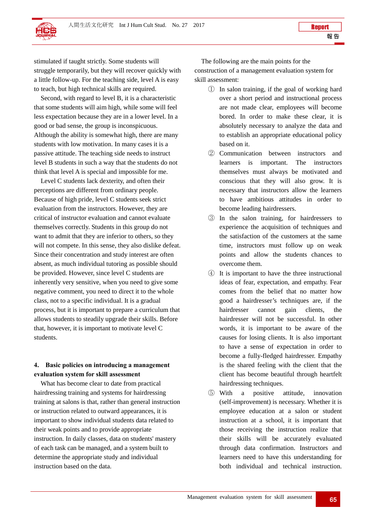stimulated if taught strictly. Some students will struggle temporarily, but they will recover quickly with a little follow-up. For the teaching side, level A is easy to teach, but high technical skills are required.

Second, with regard to level B, it is a characteristic that some students will aim high, while some will feel less expectation because they are in a lower level. In a good or bad sense, the group is inconspicuous. Although the ability is somewhat high, there are many students with low motivation. In many cases it is a passive attitude. The teaching side needs to instruct level B students in such a way that the students do not think that level A is special and impossible for me.

Level C students lack dexterity, and often their perceptions are different from ordinary people. Because of high pride, level C students seek strict evaluation from the instructors. However, they are critical of instructor evaluation and cannot evaluate themselves correctly. Students in this group do not want to admit that they are inferior to others, so they will not compete. In this sense, they also dislike defeat. Since their concentration and study interest are often absent, as much individual tutoring as possible should be provided. However, since level C students are inherently very sensitive, when you need to give some negative comment, you need to direct it to the whole class, not to a specific individual. It is a gradual process, but it is important to prepare a curriculum that allows students to steadily upgrade their skills. Before that, however, it is important to motivate level C students.

### **4. Basic policies on introducing a management evaluation system for skill assessment**

What has become clear to date from practical hairdressing training and systems for hairdressing training at salons is that, rather than general instruction or instruction related to outward appearances, it is important to show individual students data related to their weak points and to provide appropriate instruction. In daily classes, data on students' mastery of each task can be managed, and a system built to determine the appropriate study and individual instruction based on the data.

The following are the main points for the construction of a management evaluation system for skill assessment:

- ① In salon training, if the goal of working hard over a short period and instructional process are not made clear, employees will become bored. In order to make these clear, it is absolutely necessary to analyze the data and to establish an appropriate educational policy based on it.
- ② Communication between instructors and learners is important. The instructors themselves must always be motivated and conscious that they will also grow. It is necessary that instructors allow the learners to have ambitious attitudes in order to become leading hairdressers.
- ③ In the salon training, for hairdressers to experience the acquisition of techniques and the satisfaction of the customers at the same time, instructors must follow up on weak points and allow the students chances to overcome them.
- ④ It is important to have the three instructional ideas of fear, expectation, and empathy. Fear comes from the belief that no matter how good a hairdresser's techniques are, if the hairdresser cannot gain clients, the hairdresser will not be successful. In other words, it is important to be aware of the causes for losing clients. It is also important to have a sense of expectation in order to become a fully-fledged hairdresser. Empathy is the shared feeling with the client that the client has become beautiful through heartfelt hairdressing techniques.
- ⑤ With a positive attitude, innovation (self-improvement) is necessary. Whether it is employee education at a salon or student instruction at a school, it is important that those receiving the instruction realize that their skills will be accurately evaluated through data confirmation. Instructors and learners need to have this understanding for both individual and technical instruction.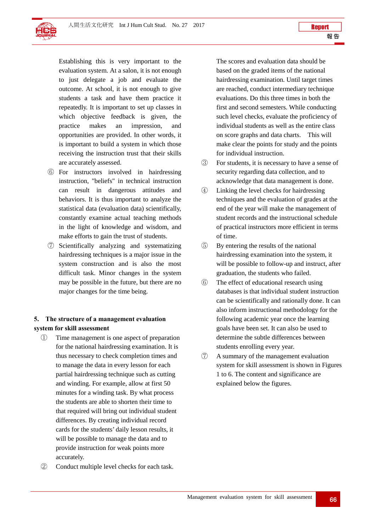Establishing this is very important to the evaluation system. At a salon, it is not enough to just delegate a job and evaluate the outcome. At school, it is not enough to give students a task and have them practice it repeatedly. It is important to set up classes in which objective feedback is given, the practice makes an impression, and opportunities are provided. In other words, it is important to build a system in which those receiving the instruction trust that their skills are accurately assessed.

- ⑥ For instructors involved in hairdressing instruction, "beliefs" in technical instruction can result in dangerous attitudes and behaviors. It is thus important to analyze the statistical data (evaluation data) scientifically, constantly examine actual teaching methods in the light of knowledge and wisdom, and make efforts to gain the trust of students.
- ⑦ Scientifically analyzing and systematizing hairdressing techniques is a major issue in the system construction and is also the most difficult task. Minor changes in the system may be possible in the future, but there are no major changes for the time being.

## **5. The structure of a management evaluation system for skill assessment**

- ① Time management is one aspect of preparation for the national hairdressing examination. It is thus necessary to check completion times and to manage the data in every lesson for each partial hairdressing technique such as cutting and winding. For example, allow at first 50 minutes for a winding task. By what process the students are able to shorten their time to that required will bring out individual student differences. By creating individual record cards for the students' daily lesson results, it will be possible to manage the data and to provide instruction for weak points more accurately.
- ② Conduct multiple level checks for each task.

The scores and evaluation data should be based on the graded items of the national hairdressing examination. Until target times are reached, conduct intermediary technique evaluations. Do this three times in both the first and second semesters. While conducting such level checks, evaluate the proficiency of individual students as well as the entire class on score graphs and data charts. This will make clear the points for study and the points for individual instruction.

- ③ For students, it is necessary to have a sense of security regarding data collection, and to acknowledge that data management is done.
- ④ Linking the level checks for hairdressing techniques and the evaluation of grades at the end of the year will make the management of student records and the instructional schedule of practical instructors more efficient in terms of time.
- ⑤ By entering the results of the national hairdressing examination into the system, it will be possible to follow-up and instruct, after graduation, the students who failed.
- ⑥ The effect of educational research using databases is that individual student instruction can be scientifically and rationally done. It can also inform instructional methodology for the following academic year once the learning goals have been set. It can also be used to determine the subtle differences between students enrolling every year.
- ⑦ A summary of the management evaluation system for skill assessment is shown in Figures 1 to 6. The content and significance are explained below the figures.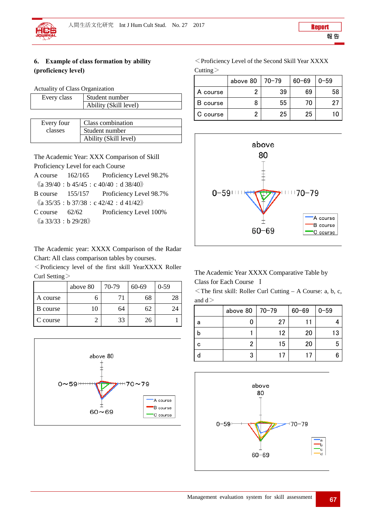# **6. Example of class formation by ability (proficiency level)**

Actuality of Class Organization

| Every class | Student number        |  |  |  |
|-------------|-----------------------|--|--|--|
|             | Ability (Skill level) |  |  |  |
|             |                       |  |  |  |

| Every four | Class combination     |  |
|------------|-----------------------|--|
| classes    | Student number        |  |
|            | Ability (Skill level) |  |

The Academic Year: XXX Comparison of Skill Proficiency Level for each Course

A course 162/165 Proficiency Level 98.2%  $\langle \langle a \, 39/40 : b \, 45/45 : c \, 40/40 : d \, 38/40 \rangle \rangle$ 

B course 155/157 Proficiency Level 98.7%

 $\langle \langle a\ 35/35 : b\ 37/38 : c\ 42/42 : d\ 41/42 \rangle \rangle$ C course 62/62 Proficiency Level 100%

 $\langle \langle a \ 33/33 : b \ 29/28 \rangle \rangle$ 

The Academic year: XXXX Comparison of the Radar Chart: All class comparison tables by courses.

<Proficiency level of the first skill YearXXXX Roller Curl Setting>

|                 | above 80 | 70-79 | 60-69 | $0-59$ |
|-----------------|----------|-------|-------|--------|
| A course        |          | 71    | 68    |        |
| <b>B</b> course | 10       | 64    | 62    | 24     |
| C course        |          | 33    | 26    |        |



<Proficiency Level of the Second Skill Year XXXX Cutting>

|          | above 80 | 70-79 | $60 - 69$ | $0 - 59$ |
|----------|----------|-------|-----------|----------|
| A course |          | 39    | 69        | 58       |
| course   |          | 55    | 70        | -95      |
| C course |          | 25    | 25        |          |



The Academic Year XXXX Comparative Table by Class for Each Course Ⅰ

 $\leq$  The first skill: Roller Curl Cutting – A Course: a, b, c, and d>

|   | above 80 | $ 70-79$ | $60 - 69$ | $0 - 59$ |
|---|----------|----------|-----------|----------|
| а |          | 27       |           |          |
|   |          | 12       | 20        | 13       |
| C | ŋ        | 15       | 20        | 5        |
|   | 3        | ι.       |           |          |

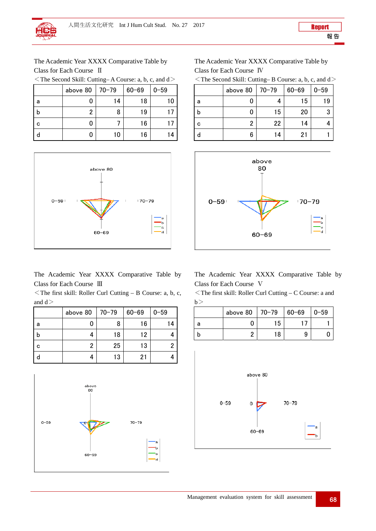The Academic Year XXXX Comparative Table by Class for Each Course Ⅱ

<The Second Skill: Cutting– A Course: a, b, c, and d>

|   | above 80 | $ 70-79$ | $60 - 69$ | $0 - 59$ |
|---|----------|----------|-----------|----------|
| а |          | 14       | 18        | 10       |
| b | 2        | 8        | 19        |          |
| C |          |          | 16        |          |
|   | 0        | 10       | 16        | 14       |



The Academic Year XXXX Comparative Table by Class for Each Course Ⅲ

<The first skill: Roller Curl Cutting – B Course: a, b, c, and  $d$ 

|   | above 80 | $ 70-79$ | $60 - 69$ | $0 - 59$ |
|---|----------|----------|-----------|----------|
| а |          | 8        | 16        | 14       |
| b |          | 18       | 12        |          |
| С | 2        | 25       | 13        |          |
|   |          | 13       | 21        |          |



The Academic Year XXXX Comparative Table by Class for Each Course Ⅳ

| $\le$ The Second Skill: Cutting–B Course: a, b, c, and d $\ge$ |  |  |  |  |
|----------------------------------------------------------------|--|--|--|--|
|----------------------------------------------------------------|--|--|--|--|

|   | above 80 | $170 - 79$ | $60 - 69$ | $0 - 59$ |
|---|----------|------------|-----------|----------|
| а |          |            | 15        | 19       |
| b |          | 15         | 20        |          |
| С |          | 22         | 14        |          |
|   | 6        | 14         | 21        |          |



The Academic Year XXXX Comparative Table by Class for Each Course Ⅴ

<The first skill: Roller Curl Cutting – C Course: a and  $b>$ 

|    | above 80 | $70 - 79$ | $60 - 69$ | $10 - 59$ |
|----|----------|-----------|-----------|-----------|
| -a |          | 15        |           |           |
|    |          | 18        | 9         |           |

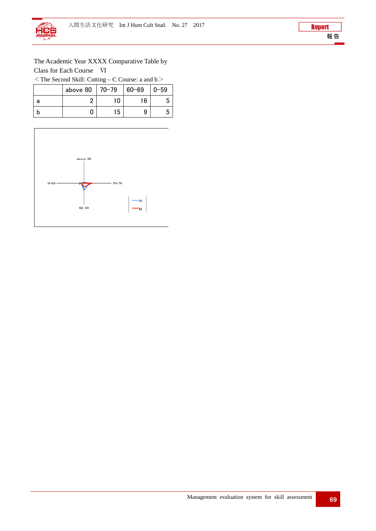The Academic Year XXXX Comparative Table by Class for Each Course Ⅵ

 $\le$ The Second Skill: Cutting – C Course: a and b $>$ 

|   | above 80 | $ 70-79$ | $60 - 69$ | $0 - 59$ |
|---|----------|----------|-----------|----------|
| а |          | 10       | 16        |          |
|   |          | 15       |           |          |

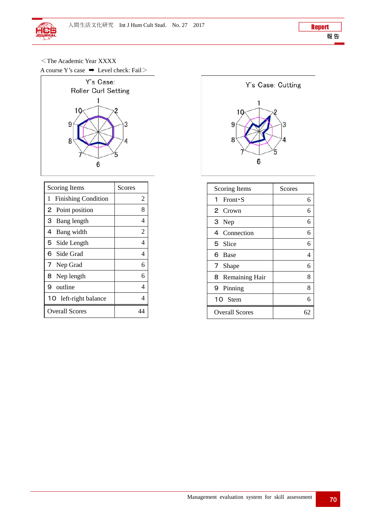<The Academic Year XXXX

A course Y's case  $\rightarrow$  Level check: Fail>



| <b>Scoring Items</b>            | Scores |
|---------------------------------|--------|
| <b>Finishing Condition</b><br>1 | 2      |
| 2 Point position                | 8      |
| Bang length<br>З                | 4      |
| 4 Bang width                    | 2      |
| 5 Side Length                   | 4      |
| 6 Side Grad                     | 4      |
| Nep Grad<br>7                   | 6      |
| 8 Nep length                    | 6      |
| 9 outline                       | 4      |
| 10 left-right balance           | 4      |
| <b>Overall Scores</b>           |        |



| Scoring Items         | Scores |
|-----------------------|--------|
| 1 Front $\cdot$ S     | 6      |
| 2 Crown               | 6      |
| 3 Nep                 | 6      |
| 4 Connection          | 6      |
| 5 Slice               | 6      |
| 6 Base                | 4      |
| 7 Shape               | 6      |
| 8 Remaining Hair      | 8      |
| 9 Pinning             | 8      |
| 10 Stem               | 6      |
| <b>Overall Scores</b> | 62     |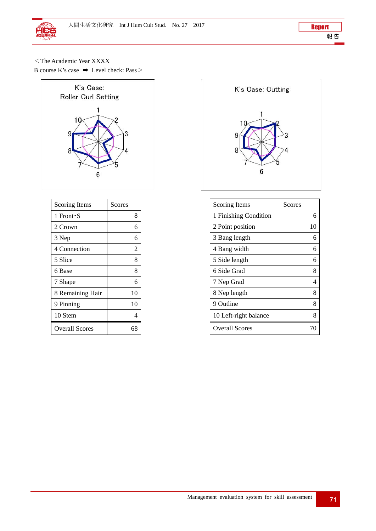<The Academic Year XXXX

B course K's case ➡ Level check: Pass>



| <b>Scoring Items</b>  | Scores |
|-----------------------|--------|
| 1 Front S             | 8      |
| 2 Crown               | 6      |
| 3 Nep                 | 6      |
| 4 Connection          | 2      |
| 5 Slice               | 8      |
| 6 Base                | 8      |
| 7 Shape               | 6      |
| 8 Remaining Hair      | 10     |
| 9 Pinning             | 10     |
| 10 Stem               | 4      |
| <b>Overall Scores</b> |        |



| Scoring Items         | Scores |
|-----------------------|--------|
| 1 Finishing Condition | 6      |
| 2 Point position      | 10     |
| 3 Bang length         | 6      |
| 4 Bang width          | 6      |
| 5 Side length         | 6      |
| 6 Side Grad           | 8      |
| 7 Nep Grad            | 4      |
| 8 Nep length          | 8      |
| 9 Outline             | 8      |
| 10 Left-right balance | 8      |
| <b>Overall Scores</b> |        |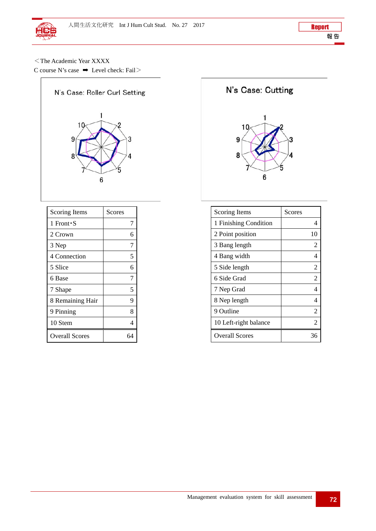<The Academic Year XXXX

C course N's case  $\rightarrow$  Level check: Fail  $>$ 



| <b>Scoring Items</b>  | Scores |
|-----------------------|--------|
| 1 Front S             | 7      |
| 2 Crown               | 6      |
| 3 Nep                 | 7      |
| 4 Connection          | 5      |
| 5 Slice               | 6      |
| 6 Base                | 7      |
| 7 Shape               | 5      |
| 8 Remaining Hair      | 9      |
| 9 Pinning             | 8      |
| 10 Stem               | 4      |
| <b>Overall Scores</b> |        |

N's Case: Cutting



| <b>Scoring Items</b>  | Scores |
|-----------------------|--------|
| 1 Finishing Condition | 4      |
| 2 Point position      | 10     |
| 3 Bang length         | 2      |
| 4 Bang width          | 4      |
| 5 Side length         | 2      |
| 6 Side Grad           | 2      |
| 7 Nep Grad            | 4      |
| 8 Nep length          | 4      |
| 9 Outline             | 2      |
| 10 Left-right balance | 2      |
| <b>Overall Scores</b> |        |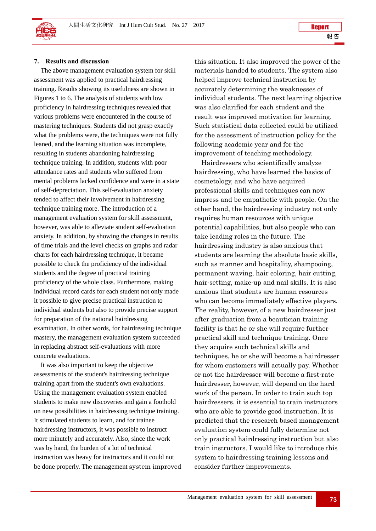

#### **7. Results and discussion**

The above management evaluation system for skill assessment was applied to practical hairdressing training. Results showing its usefulness are shown in Figures 1 to 6. The analysis of students with low proficiency in hairdressing techniques revealed that various problems were encountered in the course of mastering techniques. Students did not grasp exactly what the problems were, the techniques were not fully leaned, and the learning situation was incomplete, resulting in students abandoning hairdressing technique training. In addition, students with poor attendance rates and students who suffered from mental problems lacked confidence and were in a state of self-depreciation. This self-evaluation anxiety tended to affect their involvement in hairdressing technique training more. The introduction of a management evaluation system for skill assessment, however, was able to alleviate student self-evaluation anxiety. In addition, by showing the changes in results of time trials and the level checks on graphs and radar charts for each hairdressing technique, it became possible to check the proficiency of the individual students and the degree of practical training proficiency of the whole class. Furthermore, making individual record cards for each student not only made it possible to give precise practical instruction to individual students but also to provide precise support for preparation of the national hairdressing examination. In other words, for hairdressing technique mastery, the management evaluation system succeeded in replacing abstract self-evaluations with more concrete evaluations.

It was also important to keep the objective assessments of the student's hairdressing technique training apart from the student's own evaluations. Using the management evaluation system enabled students to make new discoveries and gain a foothold on new possibilities in hairdressing technique training. It stimulated students to learn, and for trainee hairdressing instructors, it was possible to instruct more minutely and accurately. Also, since the work was by hand, the burden of a lot of technical instruction was heavy for instructors and it could not be done properly. The management system improved this situation. It also improved the power of the materials handed to students. The system also helped improve technical instruction by accurately determining the weaknesses of individual students. The next learning objective was also clarified for each student and the result was improved motivation for learning. Such statistical data collected could be utilized for the assessment of instruction policy for the following academic year and for the improvement of teaching methodology.

Hairdressers who scientifically analyze hairdressing, who have learned the basics of cosmetology, and who have acquired professional skills and techniques can now impress and be empathetic with people. On the other hand, the hairdressing industry not only requires human resources with unique potential capabilities, but also people who can take leading roles in the future. The hairdressing industry is also anxious that students are learning the absolute basic skills, such as manner and hospitality, shampooing, permanent waving, hair coloring, hair cutting, hair-setting, make-up and nail skills. It is also anxious that students are human resources who can become immediately effective players. The reality, however, of a new hairdresser just after graduation from a beautician training facility is that he or she will require further practical skill and technique training. Once they acquire such technical skills and techniques, he or she will become a hairdresser for whom customers will actually pay. Whether or not the hairdresser will become a first-rate hairdresser, however, will depend on the hard work of the person. In order to train such top hairdressers, it is essential to train instructors who are able to provide good instruction. It is predicted that the research based management evaluation system could fully determine not only practical hairdressing instruction but also train instructors. I would like to introduce this system to hairdressing training lessons and consider further improvements.